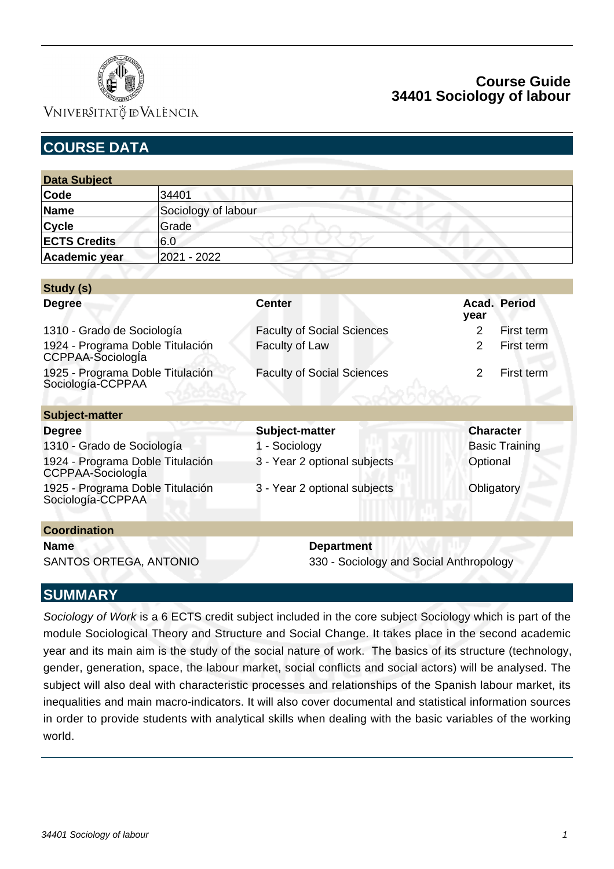

### VNIVERSITATÖ ID VALÈNCIA

# **Course Guide 34401 Sociology of labour**

| <b>Data Subject</b>                                   |                     |                                   |                                         |  |
|-------------------------------------------------------|---------------------|-----------------------------------|-----------------------------------------|--|
| Code                                                  | 34401               |                                   |                                         |  |
| <b>Name</b>                                           | Sociology of labour |                                   |                                         |  |
| Cycle                                                 | Grade               |                                   |                                         |  |
| <b>ECTS Credits</b>                                   | 6.0                 |                                   |                                         |  |
| Academic year                                         | 2021 - 2022         |                                   |                                         |  |
|                                                       |                     |                                   |                                         |  |
| Study (s)                                             |                     |                                   |                                         |  |
| <b>Degree</b>                                         |                     | <b>Center</b>                     | Acad. Period<br>year                    |  |
| 1310 - Grado de Sociología                            |                     | <b>Faculty of Social Sciences</b> | 2<br>First term                         |  |
| 1924 - Programa Doble Titulación<br>CCPPAA-SociologÍa |                     | Faculty of Law                    | $\overline{2}$<br>First term            |  |
| 1925 - Programa Doble Titulación<br>Sociología-CCPPAA |                     | <b>Faculty of Social Sciences</b> | 2<br>First term                         |  |
| <b>Subject-matter</b>                                 |                     |                                   |                                         |  |
| <b>Degree</b>                                         |                     | Subject-matter                    | <b>Character</b>                        |  |
| 1310 - Grado de Sociología                            |                     | 1 - Sociology                     | <b>Basic Training</b>                   |  |
| 1924 - Programa Doble Titulación<br>CCPPAA-SociologÍa |                     | 3 - Year 2 optional subjects      | Optional                                |  |
| 1925 - Programa Doble Titulación<br>Sociología-CCPPAA |                     | 3 - Year 2 optional subjects      | Obligatory                              |  |
| <b>Coordination</b>                                   |                     |                                   |                                         |  |
| <b>Name</b><br>SANTOS ORTEGA, ANTONIO                 |                     | <b>Department</b>                 | 330 - Sociology and Social Anthropology |  |

### **SUMMARY**

Sociology of Work is a 6 ECTS credit subject included in the core subject Sociology which is part of the module Sociological Theory and Structure and Social Change. It takes place in the second academic year and its main aim is the study of the social nature of work. The basics of its structure (technology, gender, generation, space, the labour market, social conflicts and social actors) will be analysed. The subject will also deal with characteristic processes and relationships of the Spanish labour market, its inequalities and main macro-indicators. It will also cover documental and statistical information sources in order to provide students with analytical skills when dealing with the basic variables of the working world.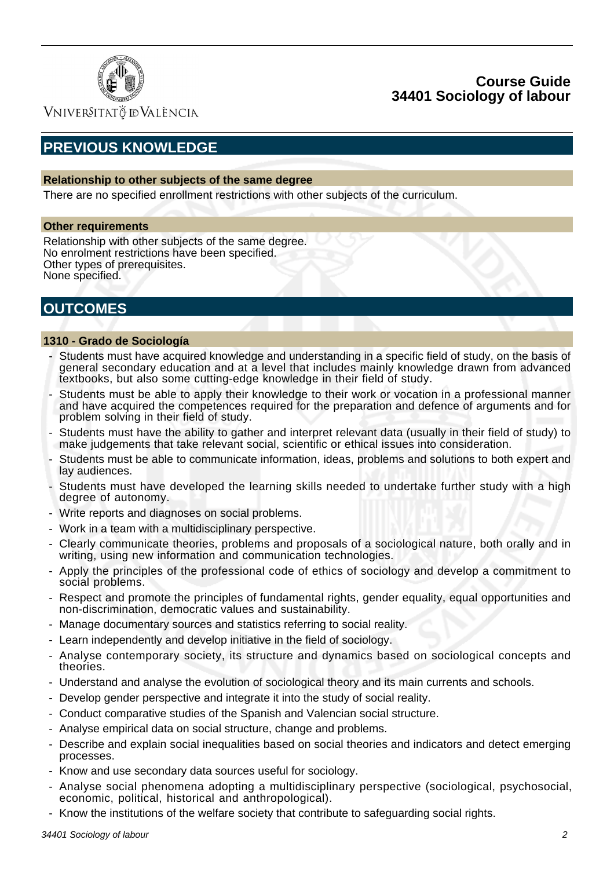

Vniver§itatğ dValència

# **PREVIOUS KNOWLEDGE**

#### **Relationship to other subjects of the same degree**

There are no specified enrollment restrictions with other subjects of the curriculum.

#### **Other requirements**

Relationship with other subjects of the same degree. No enrolment restrictions have been specified. Other types of prerequisites. None specified.

## **OUTCOMES**

#### **1310 - Grado de Sociología**

- Students must have acquired knowledge and understanding in a specific field of study, on the basis of general secondary education and at a level that includes mainly knowledge drawn from advanced textbooks, but also some cutting-edge knowledge in their field of study.
- Students must be able to apply their knowledge to their work or vocation in a professional manner and have acquired the competences required for the preparation and defence of arguments and for problem solving in their field of study.
- Students must have the ability to gather and interpret relevant data (usually in their field of study) to make judgements that take relevant social, scientific or ethical issues into consideration.
- Students must be able to communicate information, ideas, problems and solutions to both expert and lay audiences.
- Students must have developed the learning skills needed to undertake further study with a high degree of autonomy.
- Write reports and diagnoses on social problems.
- Work in a team with a multidisciplinary perspective.
- Clearly communicate theories, problems and proposals of a sociological nature, both orally and in writing, using new information and communication technologies.
- Apply the principles of the professional code of ethics of sociology and develop a commitment to social problems.
- Respect and promote the principles of fundamental rights, gender equality, equal opportunities and non-discrimination, democratic values and sustainability.
- Manage documentary sources and statistics referring to social reality.
- Learn independently and develop initiative in the field of sociology.
- Analyse contemporary society, its structure and dynamics based on sociological concepts and theories.
- Understand and analyse the evolution of sociological theory and its main currents and schools.
- Develop gender perspective and integrate it into the study of social reality.
- Conduct comparative studies of the Spanish and Valencian social structure.
- Analyse empirical data on social structure, change and problems.
- Describe and explain social inequalities based on social theories and indicators and detect emerging processes.
- Know and use secondary data sources useful for sociology.
- Analyse social phenomena adopting a multidisciplinary perspective (sociological, psychosocial, economic, political, historical and anthropological).
- Know the institutions of the welfare society that contribute to safeguarding social rights.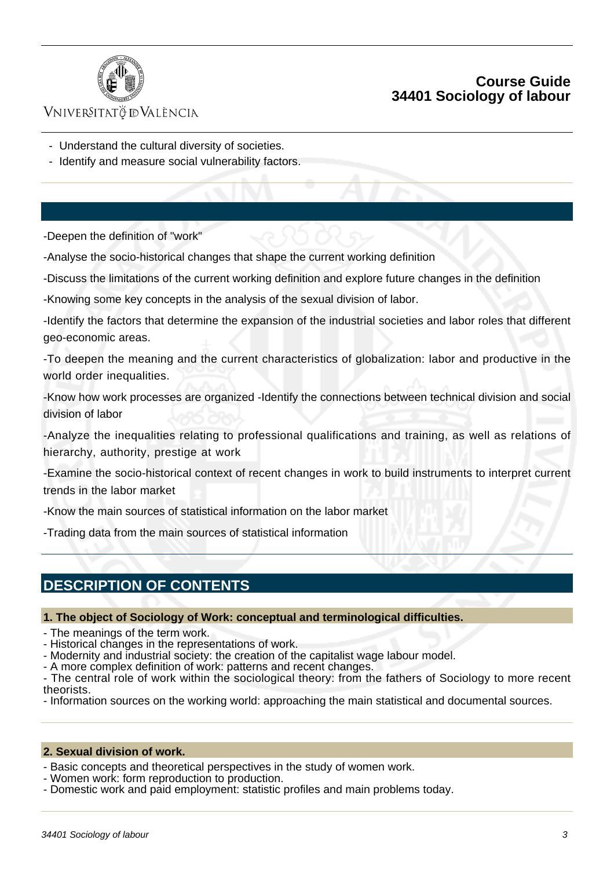

### VNIVERSITATÖ ID VALÈNCIA

- Understand the cultural diversity of societies.
- Identify and measure social vulnerability factors.

-Deepen the definition of "work"

-Analyse the socio-historical changes that shape the current working definition

-Discuss the limitations of the current working definition and explore future changes in the definition

-Knowing some key concepts in the analysis of the sexual division of labor.

-Identify the factors that determine the expansion of the industrial societies and labor roles that different geo-economic areas.

-To deepen the meaning and the current characteristics of globalization: labor and productive in the world order inequalities.

-Know how work processes are organized -Identify the connections between technical division and social division of labor

-Analyze the inequalities relating to professional qualifications and training, as well as relations of hierarchy, authority, prestige at work

-Examine the socio-historical context of recent changes in work to build instruments to interpret current trends in the labor market

-Know the main sources of statistical information on the labor market

-Trading data from the main sources of statistical information

# **DESCRIPTION OF CONTENTS**

**1. The object of Sociology of Work: conceptual and terminological difficulties.**

- The meanings of the term work.

- Historical changes in the representations of work.

- Modernity and industrial society: the creation of the capitalist wage labour model.

- A more complex definition of work: patterns and recent changes.

- The central role of work within the sociological theory: from the fathers of Sociology to more recent theorists.

- Information sources on the working world: approaching the main statistical and documental sources.

#### **2. Sexual division of work.**

- Basic concepts and theoretical perspectives in the study of women work.

- Women work: form reproduction to production.
- Domestic work and paid employment: statistic profiles and main problems today.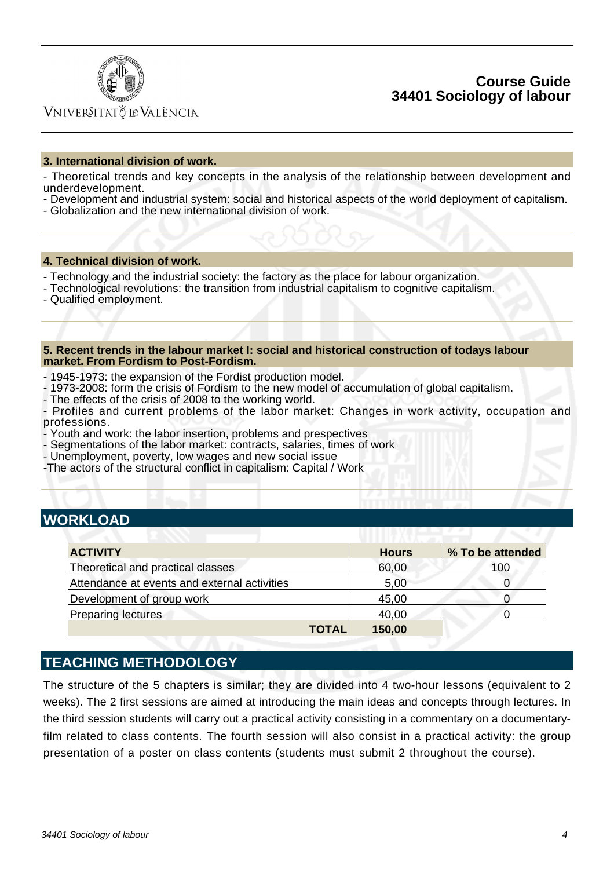

### Vniver§itatğ dValència

#### **3. International division of work.**

- Theoretical trends and key concepts in the analysis of the relationship between development and underdevelopment.

- Development and industrial system: social and historical aspects of the world deployment of capitalism.
- Globalization and the new international division of work.

#### **4. Technical division of work.**

- Technology and the industrial society: the factory as the place for labour organization.
- Technological revolutions: the transition from industrial capitalism to cognitive capitalism.
- Qualified employment.

#### **5. Recent trends in the labour market I: social and historical construction of todays labour market. From Fordism to Post-Fordism.**

- 1945-1973: the expansion of the Fordist production model.
- 1973-2008: form the crisis of Fordism to the new model of accumulation of global capitalism.
- The effects of the crisis of 2008 to the working world.

- Profiles and current problems of the labor market: Changes in work activity, occupation and professions.

- Youth and work: the labor insertion, problems and prespectives
- Segmentations of the labor market: contracts, salaries, times of work
- Unemployment, poverty, low wages and new social issue
- -The actors of the structural conflict in capitalism: Capital / Work

## **WORKLOAD**

| <b>ACTIVITY</b>                              | <b>Hours</b>           | % To be attended |
|----------------------------------------------|------------------------|------------------|
| Theoretical and practical classes            | 60,00                  | 100              |
| Attendance at events and external activities | 5,00                   |                  |
| Development of group work                    | 45,00                  |                  |
| <b>Preparing lectures</b>                    | 40,00                  |                  |
|                                              | 150,00<br><b>TOTAL</b> |                  |

## **TEACHING METHODOLOGY**

The structure of the 5 chapters is similar; they are divided into 4 two-hour lessons (equivalent to 2 weeks). The 2 first sessions are aimed at introducing the main ideas and concepts through lectures. In the third session students will carry out a practical activity consisting in a commentary on a documentaryfilm related to class contents. The fourth session will also consist in a practical activity: the group presentation of a poster on class contents (students must submit 2 throughout the course).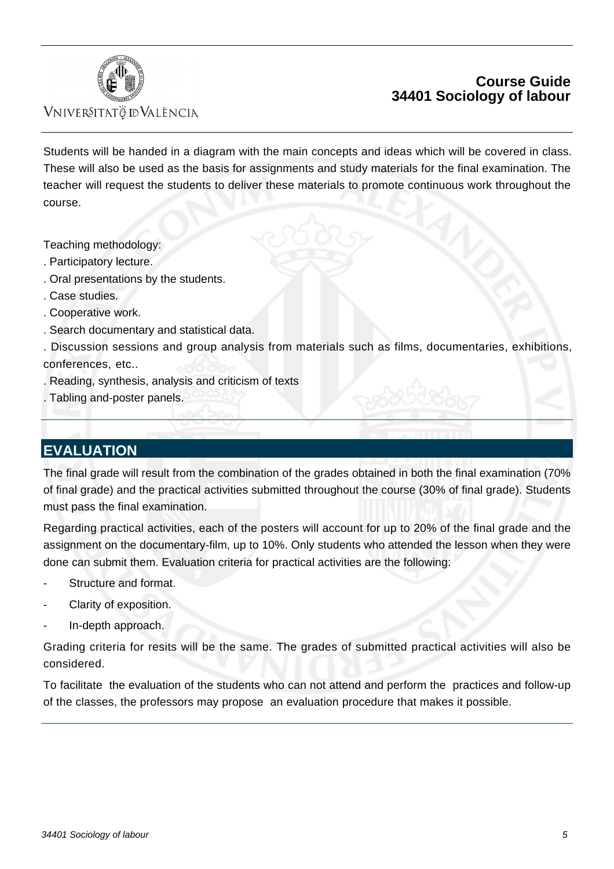

### VNIVERSITATÖ IDVALÈNCIA

## **Course Guide 34401 Sociology of labour**

Students will be handed in a diagram with the main concepts and ideas which will be covered in class. These will also be used as the basis for assignments and study materials for the final examination. The teacher will request the students to deliver these materials to promote continuous work throughout the course.

Teaching methodology:

- . Participatory lecture.
- . Oral presentations by the students.
- . Case studies.
- . Cooperative work.
- . Search documentary and statistical data.
- . Discussion sessions and group analysis from materials such as films, documentaries, exhibitions, conferences, etc..
- . Reading, synthesis, analysis and criticism of texts
- . Tabling and-poster panels.

# **EVALUATION**

The final grade will result from the combination of the grades obtained in both the final examination (70% of final grade) and the practical activities submitted throughout the course (30% of final grade). Students must pass the final examination.

Regarding practical activities, each of the posters will account for up to 20% of the final grade and the assignment on the documentary-film, up to 10%. Only students who attended the lesson when they were done can submit them. Evaluation criteria for practical activities are the following:

- Structure and format.
- Clarity of exposition.
- In-depth approach.

Grading criteria for resits will be the same. The grades of submitted practical activities will also be considered.

To facilitate the evaluation of the students who can not attend and perform the practices and follow-up of the classes, the professors may propose an evaluation procedure that makes it possible.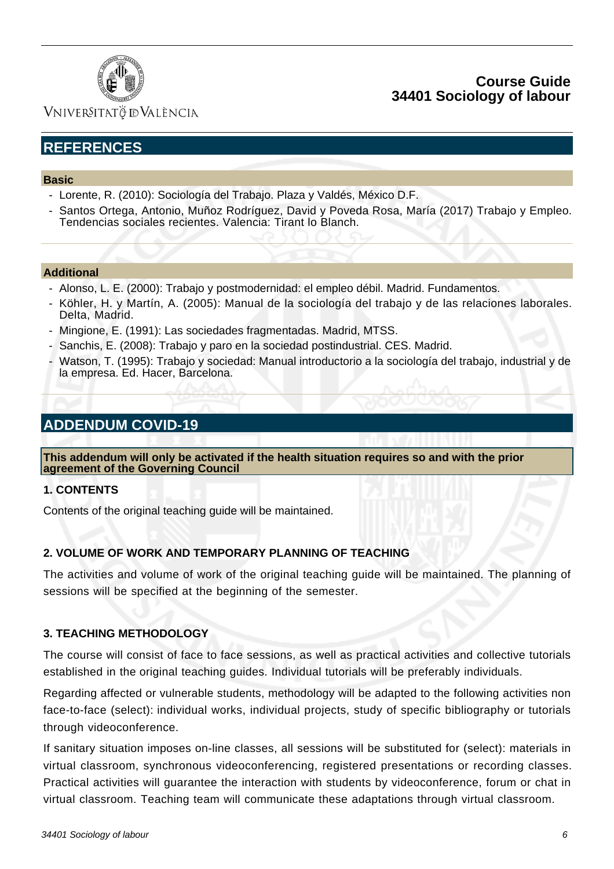

Vniver§itatğ dValència

# **REFERENCES**

#### **Basic**

- Lorente, R. (2010): Sociología del Trabajo. Plaza y Valdés, México D.F.
- Santos Ortega, Antonio, Muñoz Rodríguez, David y Poveda Rosa, María (2017) Trabajo y Empleo. Tendencias sociales recientes. Valencia: Tirant lo Blanch.

#### **Additional**

- Alonso, L. E. (2000): Trabajo y postmodernidad: el empleo débil. Madrid. Fundamentos.
- Köhler, H. y Martín, A. (2005): Manual de la sociología del trabajo y de las relaciones laborales. Delta, Madrid.
- Mingione, E. (1991): Las sociedades fragmentadas. Madrid, MTSS.
- Sanchis, E. (2008): Trabajo y paro en la sociedad postindustrial. CES. Madrid.
- Watson, T. (1995): Trabajo y sociedad: Manual introductorio a la sociología del trabajo, industrial y de la empresa. Ed. Hacer, Barcelona.

# **ADDENDUM COVID-19**

**This addendum will only be activated if the health situation requires so and with the prior agreement of the Governing Council**

#### **1. CONTENTS**

Contents of the original teaching guide will be maintained.

#### **2. VOLUME OF WORK AND TEMPORARY PLANNING OF TEACHING**

The activities and volume of work of the original teaching guide will be maintained. The planning of sessions will be specified at the beginning of the semester.

#### **3. TEACHING METHODOLOGY**

The course will consist of face to face sessions, as well as practical activities and collective tutorials established in the original teaching guides. Individual tutorials will be preferably individuals.

Regarding affected or vulnerable students, methodology will be adapted to the following activities non face-to-face (select): individual works, individual projects, study of specific bibliography or tutorials through videoconference.

If sanitary situation imposes on-line classes, all sessions will be substituted for (select): materials in virtual classroom, synchronous videoconferencing, registered presentations or recording classes. Practical activities will guarantee the interaction with students by videoconference, forum or chat in virtual classroom. Teaching team will communicate these adaptations through virtual classroom.